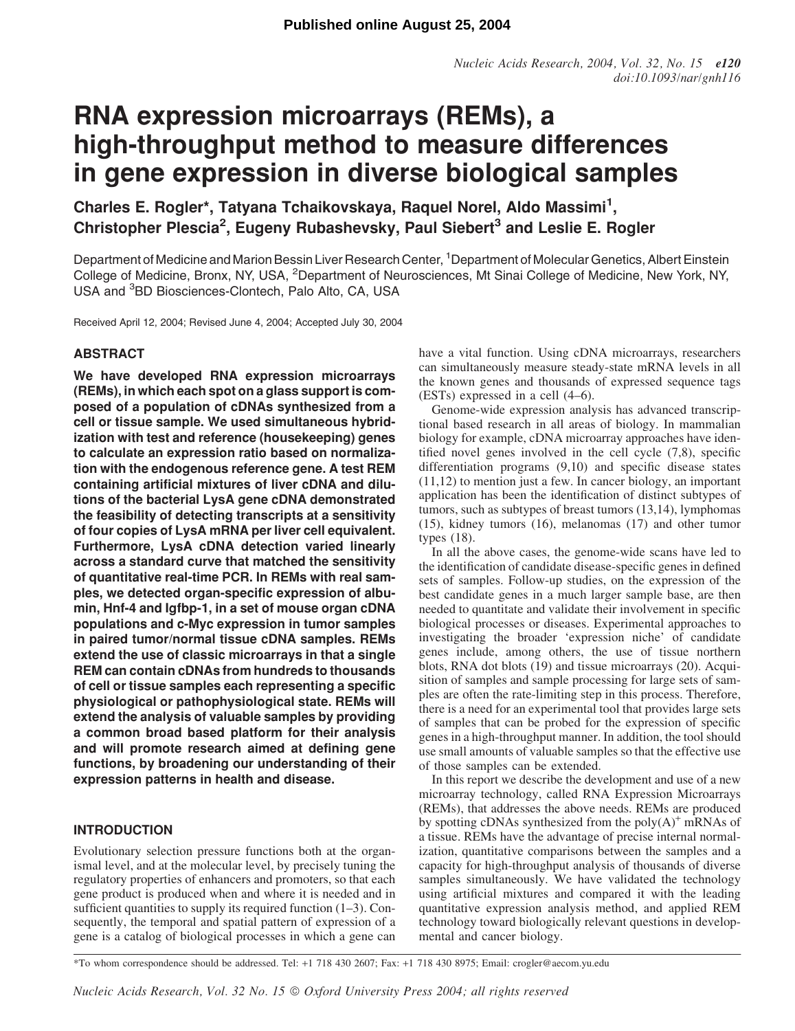# RNA expression microarrays (REMs), a high-throughput method to measure differences in gene expression in diverse biological samples

Charles E. Rogler\*, Tatyana Tchaikovskaya, Raquel Norel, Aldo Massimi<sup>1</sup>, Christopher Plescia<sup>2</sup>, Eugeny Rubashevsky, Paul Siebert<sup>3</sup> and Leslie E. Rogler

Department of Medicine and Marion Bessin Liver Research Center, <sup>1</sup>Department of Molecular Genetics, Albert Einstein College of Medicine, Bronx, NY, USA, <sup>2</sup>Department of Neurosciences, Mt Sinai College of Medicine, New York, NY, USA and <sup>3</sup>BD Biosciences-Clontech, Palo Alto, CA, USA

Received April 12, 2004; Revised June 4, 2004; Accepted July 30, 2004

# ABSTRACT

We have developed RNA expression microarrays (REMs), in which each spot on a glass support is composed of a population of cDNAs synthesized from a cell or tissue sample. We used simultaneous hybridization with test and reference (housekeeping) genes to calculate an expression ratio based on normalization with the endogenous reference gene. A test REM containing artificial mixtures of liver cDNA and dilutions of the bacterial LysA gene cDNA demonstrated the feasibility of detecting transcripts at a sensitivity of four copies of LysA mRNA per liver cell equivalent. Furthermore, LysA cDNA detection varied linearly across a standard curve that matched the sensitivity of quantitative real-time PCR. In REMs with real samples, we detected organ-specific expression of albumin, Hnf-4 and Igfbp-1, in a set of mouse organ cDNA populations and c-Myc expression in tumor samples in paired tumor/normal tissue cDNA samples. REMs extend the use of classic microarrays in that a single REM can contain cDNAs from hundreds to thousands of cell or tissue samples each representing a specific physiological or pathophysiological state. REMs will extend the analysis of valuable samples by providing a common broad based platform for their analysis and will promote research aimed at defining gene functions, by broadening our understanding of their expression patterns in health and disease.

# INTRODUCTION

Evolutionary selection pressure functions both at the organismal level, and at the molecular level, by precisely tuning the regulatory properties of enhancers and promoters, so that each gene product is produced when and where it is needed and in sufficient quantities to supply its required function (1–3). Consequently, the temporal and spatial pattern of expression of a gene is a catalog of biological processes in which a gene can have a vital function. Using cDNA microarrays, researchers can simultaneously measure steady-state mRNA levels in all the known genes and thousands of expressed sequence tags (ESTs) expressed in a cell (4–6).

Genome-wide expression analysis has advanced transcriptional based research in all areas of biology. In mammalian biology for example, cDNA microarray approaches have identified novel genes involved in the cell cycle (7,8), specific differentiation programs (9,10) and specific disease states (11,12) to mention just a few. In cancer biology, an important application has been the identification of distinct subtypes of tumors, such as subtypes of breast tumors (13,14), lymphomas (15), kidney tumors (16), melanomas (17) and other tumor types (18).

In all the above cases, the genome-wide scans have led to the identification of candidate disease-specific genes in defined sets of samples. Follow-up studies, on the expression of the best candidate genes in a much larger sample base, are then needed to quantitate and validate their involvement in specific biological processes or diseases. Experimental approaches to investigating the broader 'expression niche' of candidate genes include, among others, the use of tissue northern blots, RNA dot blots (19) and tissue microarrays (20). Acquisition of samples and sample processing for large sets of samples are often the rate-limiting step in this process. Therefore, there is a need for an experimental tool that provides large sets of samples that can be probed for the expression of specific genes in a high-throughput manner. In addition, the tool should use small amounts of valuable samples so that the effective use of those samples can be extended.

In this report we describe the development and use of a new microarray technology, called RNA Expression Microarrays (REMs), that addresses the above needs. REMs are produced by spotting cDNAs synthesized from the  $poly(A)^+$  mRNAs of a tissue. REMs have the advantage of precise internal normalization, quantitative comparisons between the samples and a capacity for high-throughput analysis of thousands of diverse samples simultaneously. We have validated the technology using artificial mixtures and compared it with the leading quantitative expression analysis method, and applied REM technology toward biologically relevant questions in developmental and cancer biology.

\*To whom correspondence should be addressed. Tel: +1 718 430 2607; Fax: +1 718 430 8975; Email: crogler@aecom.yu.edu

Nucleic Acids Research, Vol. 32 No. 15  $\odot$  Oxford University Press 2004; all rights reserved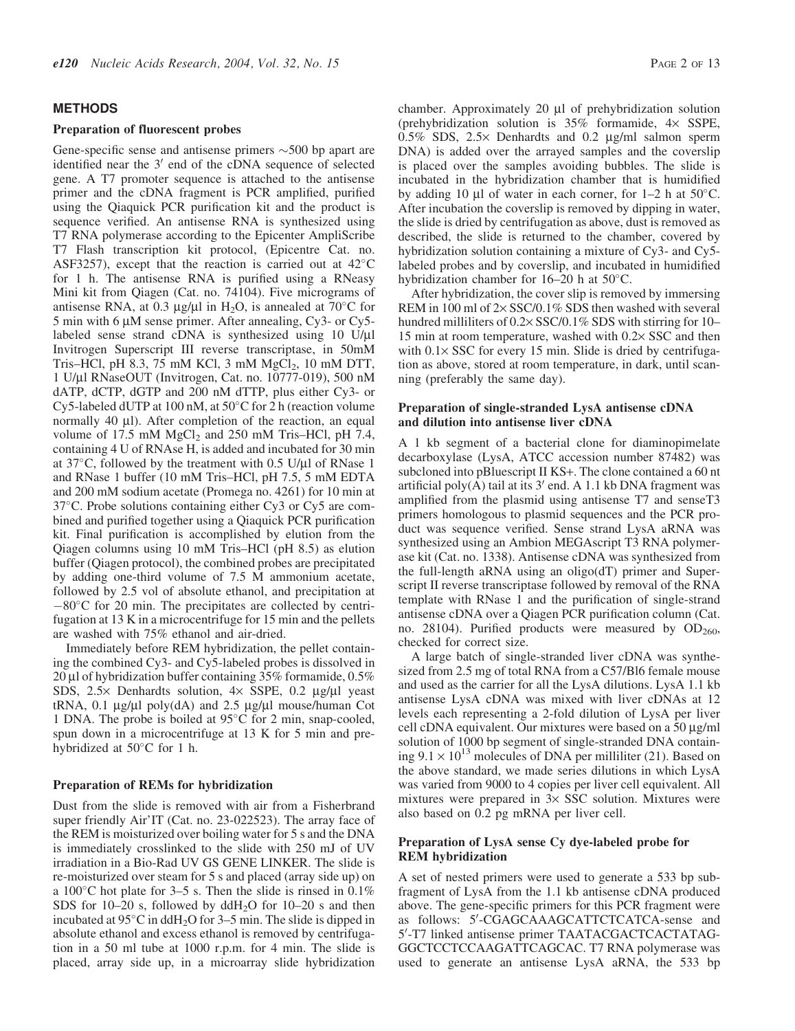#### METHODS

#### Preparation of fluorescent probes

Gene-specific sense and antisense primers  $\sim$ 500 bp apart are identified near the  $3'$  end of the cDNA sequence of selected gene. A T7 promoter sequence is attached to the antisense primer and the cDNA fragment is PCR amplified, purified using the Qiaquick PCR purification kit and the product is sequence verified. An antisense RNA is synthesized using T7 RNA polymerase according to the Epicenter AmpliScribe T7 Flash transcription kit protocol, (Epicentre Cat. no. ASF3257), except that the reaction is carried out at  $42^{\circ}$ C for 1 h. The antisense RNA is purified using a RNeasy Mini kit from Qiagen (Cat. no. 74104). Five micrograms of antisense RNA, at 0.3  $\mu$ g/ $\mu$ l in H<sub>2</sub>O, is annealed at 70°C for 5 min with 6  $\mu$ M sense primer. After annealing, Cy3- or Cy5labeled sense strand cDNA is synthesized using 10 U/µl Invitrogen Superscript III reverse transcriptase, in 50mM Tris–HCl, pH 8.3, 75 mM KCl, 3 mM  $MgCl<sub>2</sub>$ , 10 mM DTT, 1 U/ml RNaseOUT (Invitrogen, Cat. no. 10777-019), 500 nM dATP, dCTP, dGTP and 200 nM dTTP, plus either Cy3- or Cy5-labeled dUTP at 100 nM, at  $50^{\circ}$ C for 2 h (reaction volume normally 40  $\mu$ l). After completion of the reaction, an equal volume of 17.5 mM  $MgCl<sub>2</sub>$  and 250 mM Tris–HCl, pH 7.4, containing 4 U of RNAse H, is added and incubated for 30 min at  $37^{\circ}$ C, followed by the treatment with 0.5 U/µl of RNase 1 and RNase 1 buffer (10 mM Tris–HCl, pH 7.5, 5 mM EDTA and 200 mM sodium acetate (Promega no. 4261) for 10 min at  $37^{\circ}$ C. Probe solutions containing either Cy3 or Cy5 are combined and purified together using a Qiaquick PCR purification kit. Final purification is accomplished by elution from the Qiagen columns using 10 mM Tris–HCl (pH 8.5) as elution buffer (Qiagen protocol), the combined probes are precipitated by adding one-third volume of 7.5 M ammonium acetate, followed by 2.5 vol of absolute ethanol, and precipitation at  $-80^{\circ}$ C for 20 min. The precipitates are collected by centrifugation at 13 K in a microcentrifuge for 15 min and the pellets are washed with 75% ethanol and air-dried.

Immediately before REM hybridization, the pellet containing the combined Cy3- and Cy5-labeled probes is dissolved in 20 µl of hybridization buffer containing  $35\%$  formamide,  $0.5\%$ SDS,  $2.5\times$  Denhardts solution,  $4\times$  SSPE, 0.2 µg/µl yeast tRNA,  $0.1 \mu$ g/ $\mu$ l poly( $dA$ ) and  $2.5 \mu$ g/ $\mu$ l mouse/human Cot 1 DNA. The probe is boiled at  $95^{\circ}$ C for 2 min, snap-cooled, spun down in a microcentrifuge at 13 K for 5 min and prehybridized at  $50^{\circ}$ C for 1 h.

#### Preparation of REMs for hybridization

Dust from the slide is removed with air from a Fisherbrand super friendly Air'IT (Cat. no. 23-022523). The array face of the REM is moisturized over boiling water for 5 s and the DNA is immediately crosslinked to the slide with 250 mJ of UV irradiation in a Bio-Rad UV GS GENE LINKER. The slide is re-moisturized over steam for 5 s and placed (array side up) on a 100 $^{\circ}$ C hot plate for 3–5 s. Then the slide is rinsed in 0.1% SDS for  $10-20$  s, followed by  $ddH<sub>2</sub>O$  for  $10-20$  s and then incubated at  $95^{\circ}$ C in ddH<sub>2</sub>O for 3–5 min. The slide is dipped in absolute ethanol and excess ethanol is removed by centrifugation in a 50 ml tube at 1000 r.p.m. for 4 min. The slide is placed, array side up, in a microarray slide hybridization chamber. Approximately 20 µl of prehybridization solution (prehybridization solution is  $35\%$  formamide,  $4\times$  SSPE, 0.5% SDS,  $2.5 \times$  Denhardts and 0.2 µg/ml salmon sperm DNA) is added over the arrayed samples and the coverslip is placed over the samples avoiding bubbles. The slide is incubated in the hybridization chamber that is humidified by adding 10 µl of water in each corner, for  $1-2$  h at  $50^{\circ}$ C. After incubation the coverslip is removed by dipping in water, the slide is dried by centrifugation as above, dust is removed as described, the slide is returned to the chamber, covered by hybridization solution containing a mixture of Cy3- and Cy5 labeled probes and by coverslip, and incubated in humidified hybridization chamber for  $16-20$  h at  $50^{\circ}$ C.

After hybridization, the cover slip is removed by immersing REM in 100 ml of  $2 \times$  SSC/0.1% SDS then washed with several hundred milliliters of  $0.2 \times$  SSC/0.1% SDS with stirring for 10– 15 min at room temperature, washed with  $0.2 \times$  SSC and then with  $0.1 \times$  SSC for every 15 min. Slide is dried by centrifugation as above, stored at room temperature, in dark, until scanning (preferably the same day).

## Preparation of single-stranded LysA antisense cDNA and dilution into antisense liver cDNA

A 1 kb segment of a bacterial clone for diaminopimelate decarboxylase (LysA, ATCC accession number 87482) was subcloned into pBluescript II KS+. The clone contained a 60 nt artificial poly(A) tail at its  $3'$  end. A 1.1 kb DNA fragment was amplified from the plasmid using antisense T7 and senseT3 primers homologous to plasmid sequences and the PCR product was sequence verified. Sense strand LysA aRNA was synthesized using an Ambion MEGAscript T3 RNA polymerase kit (Cat. no. 1338). Antisense cDNA was synthesized from the full-length aRNA using an oligo(dT) primer and Superscript II reverse transcriptase followed by removal of the RNA template with RNase 1 and the purification of single-strand antisense cDNA over a Qiagen PCR purification column (Cat. no. 28104). Purified products were measured by  $OD<sub>260</sub>$ , checked for correct size.

A large batch of single-stranded liver cDNA was synthesized from 2.5 mg of total RNA from a C57/Bl6 female mouse and used as the carrier for all the LysA dilutions. LysA 1.1 kb antisense LysA cDNA was mixed with liver cDNAs at 12 levels each representing a 2-fold dilution of LysA per liver cell cDNA equivalent. Our mixtures were based on a 50 µg/ml solution of 1000 bp segment of single-stranded DNA containing  $9.1 \times 10^{13}$  molecules of DNA per milliliter (21). Based on the above standard, we made series dilutions in which LysA was varied from 9000 to 4 copies per liver cell equivalent. All mixtures were prepared in  $3 \times$  SSC solution. Mixtures were also based on 0.2 pg mRNA per liver cell.

## Preparation of LysA sense Cy dye-labeled probe for REM hybridization

A set of nested primers were used to generate a 533 bp subfragment of LysA from the 1.1 kb antisense cDNA produced above. The gene-specific primers for this PCR fragment were as follows: 5'-CGAGCAAAGCATTCTCATCA-sense and 5'-T7 linked antisense primer TAATACGACTCACTATAG-GGCTCCTCCAAGATTCAGCAC. T7 RNA polymerase was used to generate an antisense LysA aRNA, the 533 bp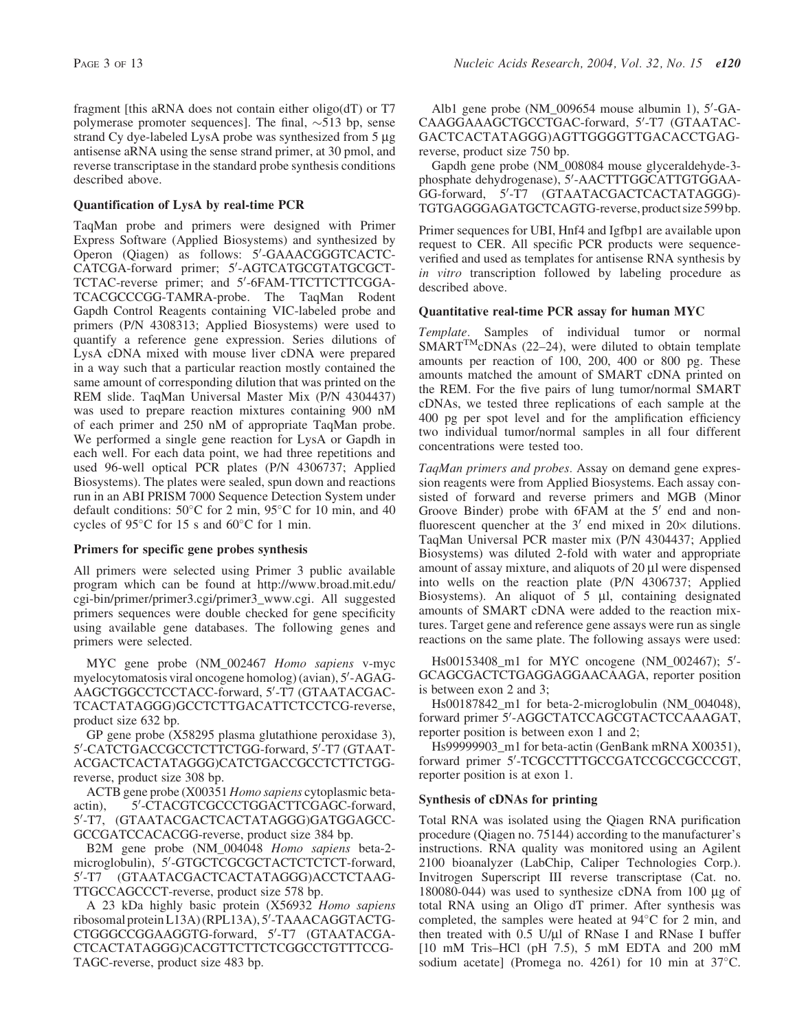fragment [this aRNA does not contain either oligo(dT) or T7 polymerase promoter sequences]. The final,  $\sim$ 513 bp, sense strand Cy dye-labeled LysA probe was synthesized from  $5 \mu g$ antisense aRNA using the sense strand primer, at 30 pmol, and reverse transcriptase in the standard probe synthesis conditions described above.

## Quantification of LysA by real-time PCR

TaqMan probe and primers were designed with Primer Express Software (Applied Biosystems) and synthesized by Operon (Qiagen) as follows: 5'-GAAACGGGTCACTC-CATCGA-forward primer; 5'-AGTCATGCGTATGCGCT-TCTAC-reverse primer; and 5'-6FAM-TTCTTCTTCGGA-TCACGCCCGG-TAMRA-probe. The TaqMan Rodent Gapdh Control Reagents containing VIC-labeled probe and primers (P/N 4308313; Applied Biosystems) were used to quantify a reference gene expression. Series dilutions of LysA cDNA mixed with mouse liver cDNA were prepared in a way such that a particular reaction mostly contained the same amount of corresponding dilution that was printed on the REM slide. TaqMan Universal Master Mix (P/N 4304437) was used to prepare reaction mixtures containing 900 nM of each primer and 250 nM of appropriate TaqMan probe. We performed a single gene reaction for LysA or Gapdh in each well. For each data point, we had three repetitions and used 96-well optical PCR plates (P/N 4306737; Applied Biosystems). The plates were sealed, spun down and reactions run in an ABI PRISM 7000 Sequence Detection System under default conditions:  $50^{\circ}$ C for 2 min,  $95^{\circ}$ C for 10 min, and 40 cycles of 95 $\degree$ C for 15 s and 60 $\degree$ C for 1 min.

#### Primers for specific gene probes synthesis

All primers were selected using Primer 3 public available program which can be found at<http://www.broad.mit.edu/> cgi-bin/primer/primer3.cgi/primer3\_www.cgi. All suggested primers sequences were double checked for gene specificity using available gene databases. The following genes and primers were selected.

MYC gene probe (NM\_002467 Homo sapiens v-myc myelocytomatosis viral oncogene homolog) (avian), 5'-AGAG-AAGCTGGCCTCCTACC-forward, 5'-T7 (GTAATACGAC-TCACTATAGGG)GCCTCTTGACATTCTCCTCG-reverse, product size 632 bp.

GP gene probe (X58295 plasma glutathione peroxidase 3), 5'-CATCTGACCGCCTCTTCTGG-forward, 5'-T7 (GTAAT-ACGACTCACTATAGGG)CATCTGACCGCCTCTTCTGGreverse, product size 308 bp.

ACTB gene probe (X00351 Homo sapiens cytoplasmic betaactin), -CTACGTCGCCCTGGACTTCGAGC-forward, 5'-T7, (GTAATACGACTCACTATAGGG)GATGGAGCC-GCCGATCCACACGG-reverse, product size 384 bp.

B2M gene probe (NM\_004048 Homo sapiens beta-2 microglobulin), 5'-GTGCTCGCGCTACTCTCTCT-forward, 5'-T7 (GTAATACGACTCACTATAGGG)ACCTCTAAG-TTGCCAGCCCT-reverse, product size 578 bp.

A 23 kDa highly basic protein (X56932 Homo sapiens ribosomal protein L13A) (RPL13A), 5'-TAAACAGGTACTG-CTGGGCCGGAAGGTG-forward, 5'-T7 (GTAATACGA-CTCACTATAGGG)CACGTTCTTCTCGGCCTGTTTCCG-TAGC-reverse, product size 483 bp.

Alb1 gene probe (NM\_009654 mouse albumin 1), 5'-GA-CAAGGAAAGCTGCCTGAC-forward, 5'-T7 (GTAATAC-GACTCACTATAGGG)AGTTGGGGTTGACACCTGAGreverse, product size 750 bp.

Gapdh gene probe (NM\_008084 mouse glyceraldehyde-3 phosphate dehydrogenase), 5'-AACTTTGGCATTGTGGAA-GG-forward, 5'-T7 (GTAATACGACTCACTATAGGG)-TGTGAGGGAGATGCTCAGTG-reverse,productsize599bp.

Primer sequences for UBI, Hnf4 and Igfbp1 are available upon request to CER. All specific PCR products were sequenceverified and used as templates for antisense RNA synthesis by in vitro transcription followed by labeling procedure as described above.

#### Quantitative real-time PCR assay for human MYC

Template. Samples of individual tumor or normal  $SMARKT^{TM}cDNAs$  (22–24), were diluted to obtain template amounts per reaction of 100, 200, 400 or 800 pg. These amounts matched the amount of SMART cDNA printed on the REM. For the five pairs of lung tumor/normal SMART cDNAs, we tested three replications of each sample at the 400 pg per spot level and for the amplification efficiency two individual tumor/normal samples in all four different concentrations were tested too.

TaqMan primers and probes. Assay on demand gene expression reagents were from Applied Biosystems. Each assay consisted of forward and reverse primers and MGB (Minor Groove Binder) probe with  $6FAM$  at the  $5'$  end and nonfluorescent quencher at the  $3'$  end mixed in  $20\times$  dilutions. TaqMan Universal PCR master mix (P/N 4304437; Applied Biosystems) was diluted 2-fold with water and appropriate amount of assay mixture, and aliquots of 20 µl were dispensed into wells on the reaction plate (P/N 4306737; Applied Biosystems). An aliquot of  $5 \mu l$ , containing designated amounts of SMART cDNA were added to the reaction mixtures. Target gene and reference gene assays were run as single reactions on the same plate. The following assays were used:

Hs00153408\_m1 for MYC oncogene (NM\_002467); 5'-GCAGCGACTCTGAGGAGGAACAAGA, reporter position is between exon 2 and 3;

Hs00187842\_m1 for beta-2-microglobulin (NM\_004048), forward primer 5'-AGGCTATCCAGCGTACTCCAAAGAT, reporter position is between exon 1 and 2;

Hs99999903\_m1 for beta-actin (GenBank mRNA X00351), forward primer 5'-TCGCCTTTGCCGATCCGCCGCCCGT, reporter position is at exon 1.

#### Synthesis of cDNAs for printing

Total RNA was isolated using the Qiagen RNA purification procedure (Qiagen no. 75144) according to the manufacturer's instructions. RNA quality was monitored using an Agilent 2100 bioanalyzer (LabChip, Caliper Technologies Corp.). Invitrogen Superscript III reverse transcriptase (Cat. no. 180080-044) was used to synthesize cDNA from 100  $\mu$ g of total RNA using an Oligo dT primer. After synthesis was completed, the samples were heated at  $94^{\circ}$ C for 2 min, and then treated with  $0.5$  U/µl of RNase I and RNase I buffer [10 mM Tris–HCl (pH 7.5), 5 mM EDTA and 200 mM sodium acetate] (Promega no. 4261) for 10 min at  $37^{\circ}$ C.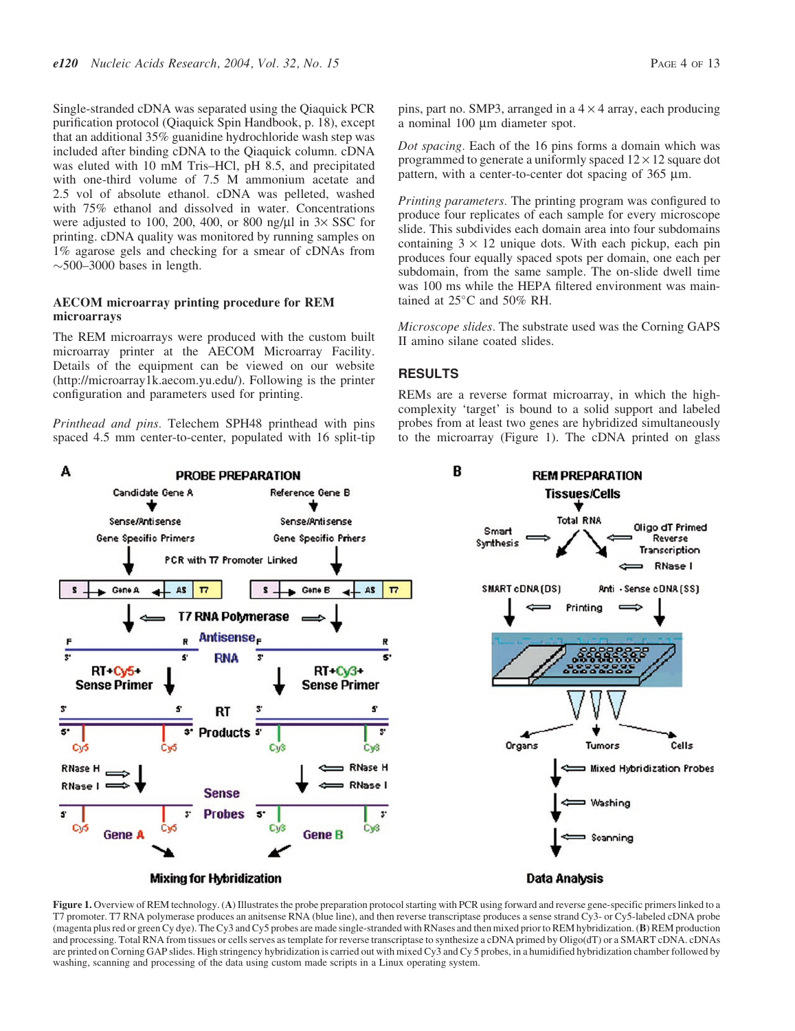Single-stranded cDNA was separated using the Qiaquick PCR purification protocol (Qiaquick Spin Handbook, p. 18), except that an additional 35% guanidine hydrochloride wash step was included after binding cDNA to the Qiaquick column. cDNA was eluted with 10 mM Tris–HCl, pH 8.5, and precipitated with one-third volume of 7.5 M ammonium acetate and 2.5 vol of absolute ethanol. cDNA was pelleted, washed with 75% ethanol and dissolved in water. Concentrations were adjusted to 100, 200, 400, or 800 ng/ $\mu$ l in  $3 \times$  SSC for printing. cDNA quality was monitored by running samples on 1% agarose gels and checking for a smear of cDNAs from  $\sim$ 500–3000 bases in length.

## AECOM microarray printing procedure for REM microarrays

The REM microarrays were produced with the custom built microarray printer at the AECOM Microarray Facility. Details of the equipment can be viewed on our website [\(http://microarray1k.aecom.yu.edu](http://microarray1k.aecom.yu.edu/)/). Following is the printer configuration and parameters used for printing.

Printhead and pins. Telechem SPH48 printhead with pins spaced 4.5 mm center-to-center, populated with 16 split-tip pins, part no. SMP3, arranged in a  $4 \times 4$  array, each producing a nominal 100 µm diameter spot.

Dot spacing. Each of the 16 pins forms a domain which was programmed to generate a uniformly spaced  $12 \times 12$  square dot pattern, with a center-to-center dot spacing of  $365 \mu m$ .

Printing parameters. The printing program was configured to produce four replicates of each sample for every microscope slide. This subdivides each domain area into four subdomains containing  $3 \times 12$  unique dots. With each pickup, each pin produces four equally spaced spots per domain, one each per subdomain, from the same sample. The on-slide dwell time was 100 ms while the HEPA filtered environment was maintained at  $25^{\circ}$ C and  $50\%$  RH.

Microscope slides. The substrate used was the Corning GAPS II amino silane coated slides.

# RESULTS

REMs are a reverse format microarray, in which the highcomplexity 'target' is bound to a solid support and labeled probes from at least two genes are hybridized simultaneously to the microarray (Figure 1). The cDNA printed on glass



Figure 1. Overview of REM technology. (A) Illustrates the probe preparation protocol starting with PCR using forward and reverse gene-specific primers linked to a T7 promoter. T7 RNA polymerase produces an anitsense RNA (blue line), and then reverse transcriptase produces a sense strand Cy3- or Cy5-labeled cDNA probe (magenta plus red or green Cy dye). The Cy3 and Cy5 probes are made single-stranded with RNases and then mixed prior to REM hybridization. (B) REM production and processing. Total RNA from tissues or cells serves as template for reverse transcriptase to synthesize a cDNA primed by Oligo(dT) or a SMART cDNA. cDNAs are printed on Corning GAP slides. High stringency hybridization is carried out with mixed Cy3 and Cy 5 probes, in a humidified hybridization chamber followed by washing, scanning and processing of the data using custom made scripts in a Linux operating system.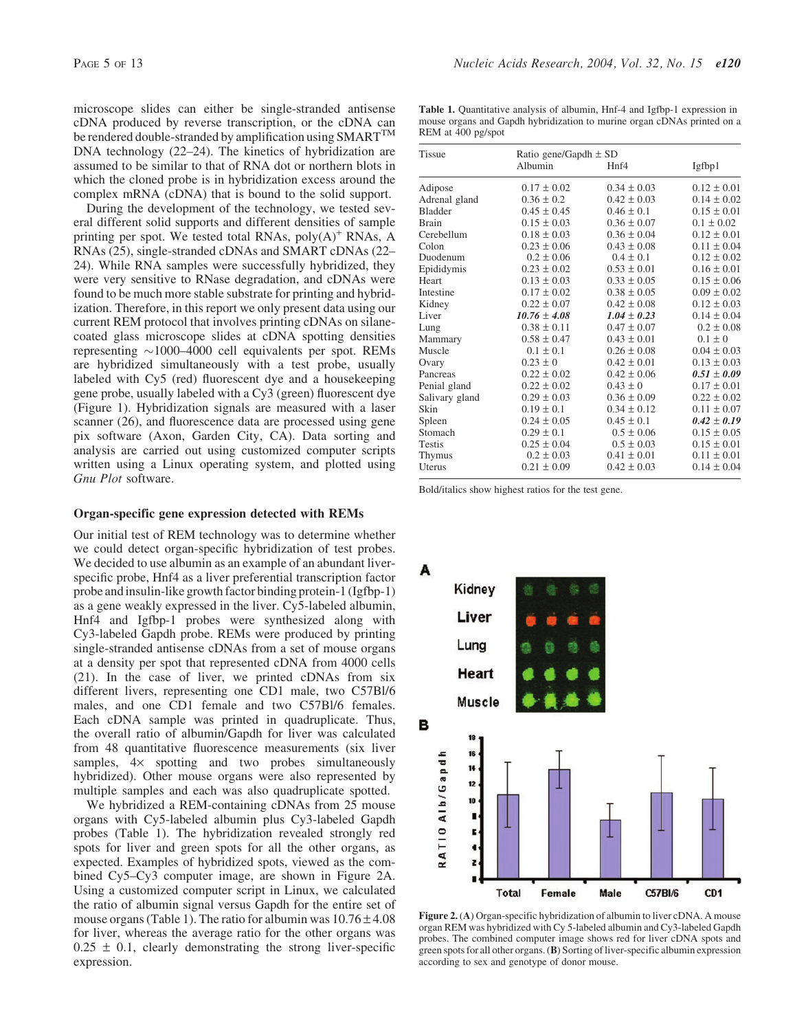microscope slides can either be single-stranded antisense cDNA produced by reverse transcription, or the cDNA can be rendered double-stranded by amplification using SMART<sup>TM</sup> DNA technology (22–24). The kinetics of hybridization are assumed to be similar to that of RNA dot or northern blots in which the cloned probe is in hybridization excess around the complex mRNA (cDNA) that is bound to the solid support.

During the development of the technology, we tested several different solid supports and different densities of sample printing per spot. We tested total RNAs,  $poly(A)^+$  RNAs, A RNAs (25), single-stranded cDNAs and SMART cDNAs (22– 24). While RNA samples were successfully hybridized, they were very sensitive to RNase degradation, and cDNAs were found to be much more stable substrate for printing and hybridization. Therefore, in this report we only present data using our current REM protocol that involves printing cDNAs on silanecoated glass microscope slides at cDNA spotting densities representing  $\sim$ 1000–4000 cell equivalents per spot. REMs are hybridized simultaneously with a test probe, usually labeled with Cy5 (red) fluorescent dye and a housekeeping gene probe, usually labeled with a Cy3 (green) fluorescent dye (Figure 1). Hybridization signals are measured with a laser scanner (26), and fluorescence data are processed using gene pix software (Axon, Garden City, CA). Data sorting and analysis are carried out using customized computer scripts written using a Linux operating system, and plotted using Gnu Plot software.

#### Organ-specific gene expression detected with REMs

Our initial test of REM technology was to determine whether we could detect organ-specific hybridization of test probes. We decided to use albumin as an example of an abundant liverspecific probe, Hnf4 as a liver preferential transcription factor probe and insulin-like growth factor binding protein-1 (Igfbp-1) as a gene weakly expressed in the liver. Cy5-labeled albumin, Hnf4 and Igfbp-1 probes were synthesized along with Cy3-labeled Gapdh probe. REMs were produced by printing single-stranded antisense cDNAs from a set of mouse organs at a density per spot that represented cDNA from 4000 cells (21). In the case of liver, we printed cDNAs from six different livers, representing one CD1 male, two C57Bl/6 males, and one CD1 female and two C57Bl/6 females. Each cDNA sample was printed in quadruplicate. Thus, the overall ratio of albumin/Gapdh for liver was calculated from 48 quantitative fluorescence measurements (six liver samples,  $4 \times$  spotting and two probes simultaneously hybridized). Other mouse organs were also represented by multiple samples and each was also quadruplicate spotted.

We hybridized a REM-containing cDNAs from 25 mouse organs with Cy5-labeled albumin plus Cy3-labeled Gapdh probes (Table 1). The hybridization revealed strongly red spots for liver and green spots for all the other organs, as expected. Examples of hybridized spots, viewed as the combined Cy5–Cy3 computer image, are shown in Figure 2A. Using a customized computer script in Linux, we calculated the ratio of albumin signal versus Gapdh for the entire set of mouse organs (Table 1). The ratio for albumin was  $10.76 \pm 4.08$ for liver, whereas the average ratio for the other organs was  $0.25 \pm 0.1$ , clearly demonstrating the strong liver-specific expression.

|  |                    | <b>Table 1.</b> Quantitative analysis of albumin, Hnf-4 and Igfbp-1 expression in |  |  |  |
|--|--------------------|-----------------------------------------------------------------------------------|--|--|--|
|  |                    | mouse organs and Gapdh hybridization to murine organ cDNAs printed on a           |  |  |  |
|  | REM at 400 pg/spot |                                                                                   |  |  |  |

| <b>Tissue</b>  | Ratio gene/Gapdh ± SD<br>Albumin | Hnf4            | Igfbp1          |
|----------------|----------------------------------|-----------------|-----------------|
| Adipose        | $0.17 \pm 0.02$                  | $0.34 \pm 0.03$ | $0.12 \pm 0.01$ |
| Adrenal gland  | $0.36 \pm 0.2$                   | $0.42 \pm 0.03$ | $0.14 \pm 0.02$ |
| <b>Bladder</b> | $0.45 \pm 0.45$                  | $0.46 \pm 0.1$  | $0.15 \pm 0.01$ |
| <b>Brain</b>   | $0.15 \pm 0.03$                  | $0.36 \pm 0.07$ | $0.1 \pm 0.02$  |
| Cerebellum     | $0.18 \pm 0.03$                  | $0.36 \pm 0.04$ | $0.12 \pm 0.01$ |
| Colon          | $0.23 \pm 0.06$                  | $0.43 \pm 0.08$ | $0.11 \pm 0.04$ |
| Duodenum       | $0.2 \pm 0.06$                   | $0.4 \pm 0.1$   | $0.12 \pm 0.02$ |
| Epididymis     | $0.23 \pm 0.02$                  | $0.53 \pm 0.01$ | $0.16 \pm 0.01$ |
| Heart          | $0.13 \pm 0.03$                  | $0.33 \pm 0.05$ | $0.15 \pm 0.06$ |
| Intestine      | $0.17 \pm 0.02$                  | $0.38 \pm 0.05$ | $0.09 \pm 0.02$ |
| Kidney         | $0.22 \pm 0.07$                  | $0.42 \pm 0.08$ | $0.12 \pm 0.03$ |
| Liver          | $10.76 \pm 4.08$                 | $1.04 \pm 0.23$ | $0.14 \pm 0.04$ |
| Lung           | $0.38 \pm 0.11$                  | $0.47 \pm 0.07$ | $0.2 \pm 0.08$  |
| Mammary        | $0.58 \pm 0.47$                  | $0.43 \pm 0.01$ | $0.1 \pm 0$     |
| Muscle         | $0.1 \pm 0.1$                    | $0.26 \pm 0.08$ | $0.04 \pm 0.03$ |
| Ovary          | $0.23 \pm 0$                     | $0.42 \pm 0.01$ | $0.13 \pm 0.03$ |
| Pancreas       | $0.22 \pm 0.02$                  | $0.42 \pm 0.06$ | $0.51 \pm 0.09$ |
| Penial gland   | $0.22 \pm 0.02$                  | $0.43 \pm 0$    | $0.17 \pm 0.01$ |
| Salivary gland | $0.29 \pm 0.03$                  | $0.36 \pm 0.09$ | $0.22 \pm 0.02$ |
| Skin           | $0.19 \pm 0.1$                   | $0.34 \pm 0.12$ | $0.11 \pm 0.07$ |
| Spleen         | $0.24 \pm 0.05$                  | $0.45 \pm 0.1$  | $0.42 \pm 0.19$ |
| Stomach        | $0.29 \pm 0.1$                   | $0.5 \pm 0.06$  | $0.15 \pm 0.05$ |
| Testis         | $0.25 \pm 0.04$                  | $0.5 \pm 0.03$  | $0.15 \pm 0.01$ |
| Thymus         | $0.2 \pm 0.03$                   | $0.41 \pm 0.01$ | $0.11 \pm 0.01$ |
| Uterus         | $0.21 \pm 0.09$                  | $0.42 \pm 0.03$ | $0.14 \pm 0.04$ |
|                |                                  |                 |                 |

Bold/italics show highest ratios for the test gene.



Figure 2. (A) Organ-specific hybridization of albumin to liver cDNA. A mouse organ REM was hybridized with Cy 5-labeled albumin and Cy3-labeled Gapdh probes. The combined computer image shows red for liver cDNA spots and green spots for all other organs. (B) Sorting of liver-specific albumin expression according to sex and genotype of donor mouse.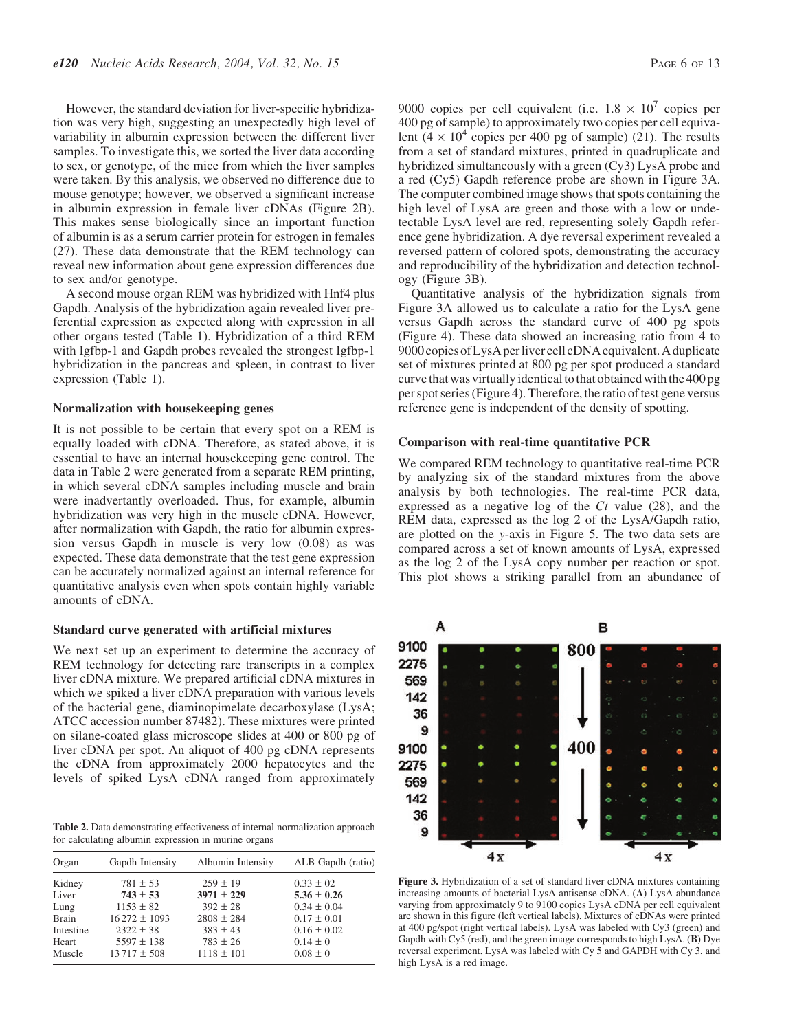However, the standard deviation for liver-specific hybridization was very high, suggesting an unexpectedly high level of variability in albumin expression between the different liver samples. To investigate this, we sorted the liver data according to sex, or genotype, of the mice from which the liver samples were taken. By this analysis, we observed no difference due to mouse genotype; however, we observed a significant increase in albumin expression in female liver cDNAs (Figure 2B). This makes sense biologically since an important function of albumin is as a serum carrier protein for estrogen in females (27). These data demonstrate that the REM technology can reveal new information about gene expression differences due to sex and/or genotype.

A second mouse organ REM was hybridized with Hnf4 plus Gapdh. Analysis of the hybridization again revealed liver preferential expression as expected along with expression in all other organs tested (Table 1). Hybridization of a third REM with Igfbp-1 and Gapdh probes revealed the strongest Igfbp-1 hybridization in the pancreas and spleen, in contrast to liver expression (Table 1).

### Normalization with housekeeping genes

It is not possible to be certain that every spot on a REM is equally loaded with cDNA. Therefore, as stated above, it is essential to have an internal housekeeping gene control. The data in Table 2 were generated from a separate REM printing, in which several cDNA samples including muscle and brain were inadvertantly overloaded. Thus, for example, albumin hybridization was very high in the muscle cDNA. However, after normalization with Gapdh, the ratio for albumin expression versus Gapdh in muscle is very low (0.08) as was expected. These data demonstrate that the test gene expression can be accurately normalized against an internal reference for quantitative analysis even when spots contain highly variable amounts of cDNA.

#### Standard curve generated with artificial mixtures

We next set up an experiment to determine the accuracy of REM technology for detecting rare transcripts in a complex liver cDNA mixture. We prepared artificial cDNA mixtures in which we spiked a liver cDNA preparation with various levels of the bacterial gene, diaminopimelate decarboxylase (LysA; ATCC accession number 87482). These mixtures were printed on silane-coated glass microscope slides at 400 or 800 pg of liver cDNA per spot. An aliquot of 400 pg cDNA represents the cDNA from approximately 2000 hepatocytes and the levels of spiked LysA cDNA ranged from approximately

Table 2. Data demonstrating effectiveness of internal normalization approach for calculating albumin expression in murine organs

| ALB Gapdh (ratio) |
|-------------------|
| $0.33 \pm 0.2$    |
| $5.36 \pm 0.26$   |
| $0.34 \pm 0.04$   |
| $0.17 \pm 0.01$   |
| $0.16 \pm 0.02$   |
| $0.14 \pm 0$      |
| $0.08 \pm 0$      |
|                   |

9000 copies per cell equivalent (i.e.  $1.8 \times 10^7$  copies per 400 pg of sample) to approximately two copies per cell equivalent  $(4 \times 10^4$  copies per 400 pg of sample) (21). The results from a set of standard mixtures, printed in quadruplicate and hybridized simultaneously with a green (Cy3) LysA probe and a red (Cy5) Gapdh reference probe are shown in Figure 3A. The computer combined image shows that spots containing the high level of LysA are green and those with a low or undetectable LysA level are red, representing solely Gapdh reference gene hybridization. A dye reversal experiment revealed a reversed pattern of colored spots, demonstrating the accuracy and reproducibility of the hybridization and detection technology (Figure 3B).

Quantitative analysis of the hybridization signals from Figure 3A allowed us to calculate a ratio for the LysA gene versus Gapdh across the standard curve of 400 pg spots (Figure 4). These data showed an increasing ratio from 4 to 9000copies ofLysA per liver cell cDNA equivalent.Aduplicate set of mixtures printed at 800 pg per spot produced a standard curve that was virtually identical to that obtained with the 400 pg per spot series (Figure 4). Therefore, the ratio of test gene versus reference gene is independent of the density of spotting.

#### Comparison with real-time quantitative PCR

We compared REM technology to quantitative real-time PCR by analyzing six of the standard mixtures from the above analysis by both technologies. The real-time PCR data, expressed as a negative log of the  $C_t$  value (28), and the REM data, expressed as the log 2 of the LysA/Gapdh ratio, are plotted on the y-axis in Figure 5. The two data sets are compared across a set of known amounts of LysA, expressed as the log 2 of the LysA copy number per reaction or spot. This plot shows a striking parallel from an abundance of



Figure 3. Hybridization of a set of standard liver cDNA mixtures containing increasing amounts of bacterial LysA antisense cDNA. (A) LysA abundance varying from approximately 9 to 9100 copies LysA cDNA per cell equivalent are shown in this figure (left vertical labels). Mixtures of cDNAs were printed at 400 pg/spot (right vertical labels). LysA was labeled with Cy3 (green) and Gapdh with Cy5 (red), and the green image corresponds to high LysA. (B) Dye reversal experiment, LysA was labeled with Cy 5 and GAPDH with Cy 3, and high LysA is a red image.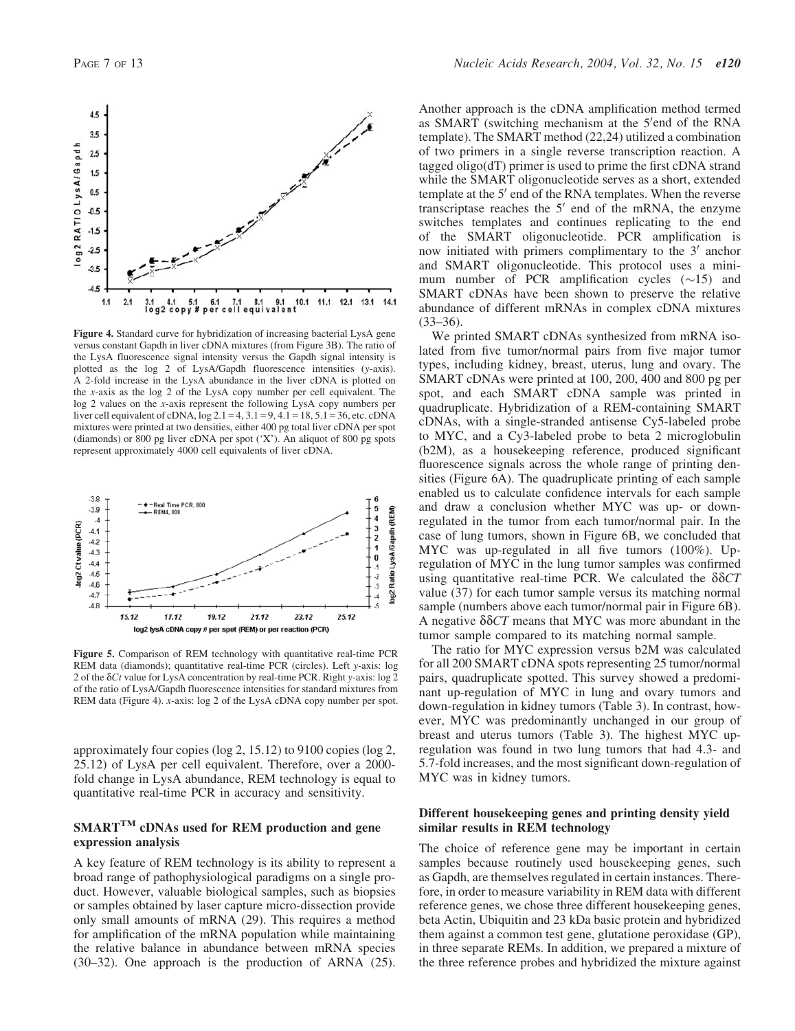

Figure 4. Standard curve for hybridization of increasing bacterial LysA gene versus constant Gapdh in liver cDNA mixtures (from Figure 3B). The ratio of the LysA fluorescence signal intensity versus the Gapdh signal intensity is plotted as the log 2 of LysA/Gapdh fluorescence intensities (y-axis). A 2-fold increase in the LysA abundance in the liver cDNA is plotted on the x-axis as the log 2 of the LysA copy number per cell equivalent. The log 2 values on the x-axis represent the following LysA copy numbers per liver cell equivalent of cDNA,  $log 2.1 = 4$ ,  $3.1 = 9$ ,  $4.1 = 18$ ,  $5.1 = 36$ , etc. cDNA mixtures were printed at two densities, either 400 pg total liver cDNA per spot (diamonds) or 800 pg liver cDNA per spot ('X'). An aliquot of 800 pg spots represent approximately 4000 cell equivalents of liver cDNA.



Figure 5. Comparison of REM technology with quantitative real-time PCR REM data (diamonds); quantitative real-time PCR (circles). Left y-axis: log 2 of the  $\delta$ Ct value for LysA concentration by real-time PCR. Right y-axis: log 2 of the ratio of LysA/Gapdh fluorescence intensities for standard mixtures from REM data (Figure 4). x-axis: log 2 of the LysA cDNA copy number per spot.

approximately four copies (log 2, 15.12) to 9100 copies (log 2, 25.12) of LysA per cell equivalent. Therefore, over a 2000 fold change in LysA abundance, REM technology is equal to quantitative real-time PCR in accuracy and sensitivity.

# SMART<sup>TM</sup> cDNAs used for REM production and gene expression analysis

A key feature of REM technology is its ability to represent a broad range of pathophysiological paradigms on a single product. However, valuable biological samples, such as biopsies or samples obtained by laser capture micro-dissection provide only small amounts of mRNA (29). This requires a method for amplification of the mRNA population while maintaining the relative balance in abundance between mRNA species (30–32). One approach is the production of ARNA (25). Another approach is the cDNA amplification method termed as SMART (switching mechanism at the 5'end of the RNA template). The SMART method (22,24) utilized a combination of two primers in a single reverse transcription reaction. A tagged oligo(dT) primer is used to prime the first cDNA strand while the SMART oligonucleotide serves as a short, extended template at the 5<sup>'</sup> end of the RNA templates. When the reverse transcriptase reaches the  $5'$  end of the mRNA, the enzyme switches templates and continues replicating to the end of the SMART oligonucleotide. PCR amplification is now initiated with primers complimentary to the  $3'$  anchor and SMART oligonucleotide. This protocol uses a minimum number of PCR amplification cycles  $(\sim 15)$  and SMART cDNAs have been shown to preserve the relative abundance of different mRNAs in complex cDNA mixtures  $(33-36)$ .

We printed SMART cDNAs synthesized from mRNA isolated from five tumor/normal pairs from five major tumor types, including kidney, breast, uterus, lung and ovary. The SMART cDNAs were printed at 100, 200, 400 and 800 pg per spot, and each SMART cDNA sample was printed in quadruplicate. Hybridization of a REM-containing SMART cDNAs, with a single-stranded antisense Cy5-labeled probe to MYC, and a Cy3-labeled probe to beta 2 microglobulin (b2M), as a housekeeping reference, produced significant fluorescence signals across the whole range of printing densities (Figure 6A). The quadruplicate printing of each sample enabled us to calculate confidence intervals for each sample and draw a conclusion whether MYC was up- or downregulated in the tumor from each tumor/normal pair. In the case of lung tumors, shown in Figure 6B, we concluded that MYC was up-regulated in all five tumors (100%). Upregulation of MYC in the lung tumor samples was confirmed using quantitative real-time PCR. We calculated the  $\delta \delta CT$ value (37) for each tumor sample versus its matching normal sample (numbers above each tumor/normal pair in Figure 6B). A negative  $\delta \delta C T$  means that MYC was more abundant in the tumor sample compared to its matching normal sample.

The ratio for MYC expression versus b2M was calculated for all 200 SMART cDNA spots representing 25 tumor/normal pairs, quadruplicate spotted. This survey showed a predominant up-regulation of MYC in lung and ovary tumors and down-regulation in kidney tumors (Table 3). In contrast, however, MYC was predominantly unchanged in our group of breast and uterus tumors (Table 3). The highest MYC upregulation was found in two lung tumors that had 4.3- and 5.7-fold increases, and the most significant down-regulation of MYC was in kidney tumors.

#### Different housekeeping genes and printing density yield similar results in REM technology

The choice of reference gene may be important in certain samples because routinely used housekeeping genes, such as Gapdh, are themselves regulated in certain instances. Therefore, in order to measure variability in REM data with different reference genes, we chose three different housekeeping genes, beta Actin, Ubiquitin and 23 kDa basic protein and hybridized them against a common test gene, glutatione peroxidase (GP), in three separate REMs. In addition, we prepared a mixture of the three reference probes and hybridized the mixture against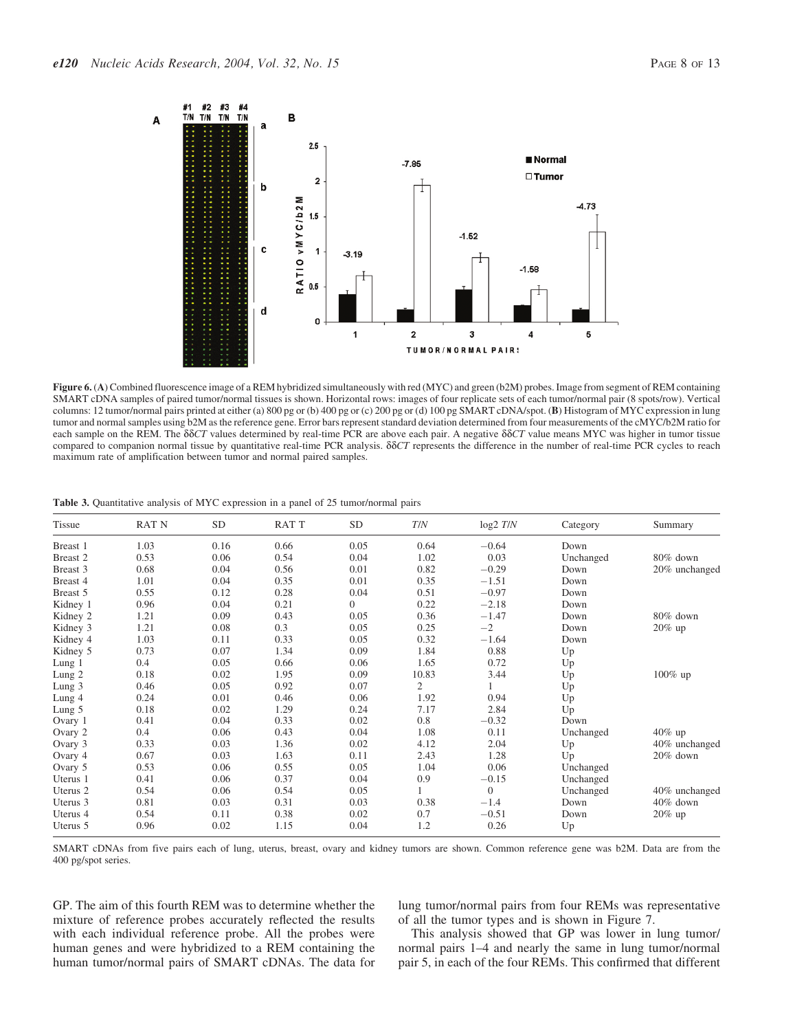

Figure 6. (A) Combined fluorescence image of a REM hybridized simultaneously with red (MYC) and green (b2M) probes. Image from segment of REM containing SMART cDNA samples of paired tumor/normal tissues is shown. Horizontal rows: images of four replicate sets of each tumor/normal pair (8 spots/row). Vertical columns: 12 tumor/normal pairs printed at either (a) 800 pg or (b) 400 pg or (c) 200 pg or (d) 100 pg SMART cDNA/spot. (B) Histogram of MYC expression in lung tumor and normal samples using b2M as the reference gene. Error bars represent standard deviation determined from four measurements of the cMYC/b2M ratio for each sample on the REM. The  $\delta \delta C T$  values determined by real-time PCR are above each pair. A negative  $\delta \delta C T$  value means MYC was higher in tumor tissue compared to companion normal tissue by quantitative real-time PCR analysis.  $\delta \delta C T$  represents the difference in the number of real-time PCR cycles to reach maximum rate of amplification between tumor and normal paired samples.

|  |  |  |  |  |  |  |  | <b>Table 3.</b> Quantitative analysis of MYC expression in a panel of 25 tumor/normal pairs |  |
|--|--|--|--|--|--|--|--|---------------------------------------------------------------------------------------------|--|
|--|--|--|--|--|--|--|--|---------------------------------------------------------------------------------------------|--|

| <b>Tissue</b> | <b>RAT N</b> | <b>SD</b> | RAT T | <b>SD</b> | T/N            | $log2$ T/N | Category  | Summary       |
|---------------|--------------|-----------|-------|-----------|----------------|------------|-----------|---------------|
| Breast 1      | 1.03         | 0.16      | 0.66  | 0.05      | 0.64           | $-0.64$    | Down      |               |
| Breast 2      | 0.53         | 0.06      | 0.54  | 0.04      | 1.02           | 0.03       | Unchanged | 80% down      |
| Breast 3      | 0.68         | 0.04      | 0.56  | 0.01      | 0.82           | $-0.29$    | Down      | 20% unchanged |
| Breast 4      | 1.01         | 0.04      | 0.35  | 0.01      | 0.35           | $-1.51$    | Down      |               |
| Breast 5      | 0.55         | 0.12      | 0.28  | 0.04      | 0.51           | $-0.97$    | Down      |               |
| Kidney 1      | 0.96         | 0.04      | 0.21  | $\theta$  | 0.22           | $-2.18$    | Down      |               |
| Kidney 2      | 1.21         | 0.09      | 0.43  | 0.05      | 0.36           | $-1.47$    | Down      | 80% down      |
| Kidney 3      | 1.21         | 0.08      | 0.3   | 0.05      | 0.25           | $-2$       | Down      | 20% up        |
| Kidney 4      | 1.03         | 0.11      | 0.33  | 0.05      | 0.32           | $-1.64$    | Down      |               |
| Kidney 5      | 0.73         | 0.07      | 1.34  | 0.09      | 1.84           | 0.88       | Up        |               |
| Lung 1        | 0.4          | 0.05      | 0.66  | 0.06      | 1.65           | 0.72       | Up        |               |
| Lung 2        | 0.18         | 0.02      | 1.95  | 0.09      | 10.83          | 3.44       | Up        | $100\%$ up    |
| Lung 3        | 0.46         | 0.05      | 0.92  | 0.07      | $\overline{2}$ |            | Up        |               |
| Lung 4        | 0.24         | 0.01      | 0.46  | 0.06      | 1.92           | 0.94       | Up        |               |
| Lung $5$      | 0.18         | 0.02      | 1.29  | 0.24      | 7.17           | 2.84       | Up        |               |
| Ovary 1       | 0.41         | 0.04      | 0.33  | 0.02      | 0.8            | $-0.32$    | Down      |               |
| Ovary 2       | 0.4          | 0.06      | 0.43  | 0.04      | 1.08           | 0.11       | Unchanged | 40% up        |
| Ovary 3       | 0.33         | 0.03      | 1.36  | 0.02      | 4.12           | 2.04       | Up        | 40% unchanged |
| Ovary 4       | 0.67         | 0.03      | 1.63  | 0.11      | 2.43           | 1.28       | Up        | $20\%$ down   |
| Ovary 5       | 0.53         | 0.06      | 0.55  | 0.05      | 1.04           | 0.06       | Unchanged |               |
| Uterus 1      | 0.41         | 0.06      | 0.37  | 0.04      | 0.9            | $-0.15$    | Unchanged |               |
| Uterus 2      | 0.54         | 0.06      | 0.54  | 0.05      |                | $\Omega$   | Unchanged | 40% unchanged |
| Uterus 3      | 0.81         | 0.03      | 0.31  | 0.03      | 0.38           | $-1.4$     | Down      | 40% down      |
| Uterus 4      | 0.54         | 0.11      | 0.38  | 0.02      | 0.7            | $-0.51$    | Down      | 20% up        |
| Uterus 5      | 0.96         | 0.02      | 1.15  | 0.04      | 1.2            | 0.26       | Up        |               |

SMART cDNAs from five pairs each of lung, uterus, breast, ovary and kidney tumors are shown. Common reference gene was b2M. Data are from the 400 pg/spot series.

GP. The aim of this fourth REM was to determine whether the mixture of reference probes accurately reflected the results with each individual reference probe. All the probes were human genes and were hybridized to a REM containing the human tumor/normal pairs of SMART cDNAs. The data for lung tumor/normal pairs from four REMs was representative of all the tumor types and is shown in Figure 7.

This analysis showed that GP was lower in lung tumor/ normal pairs 1–4 and nearly the same in lung tumor/normal pair 5, in each of the four REMs. This confirmed that different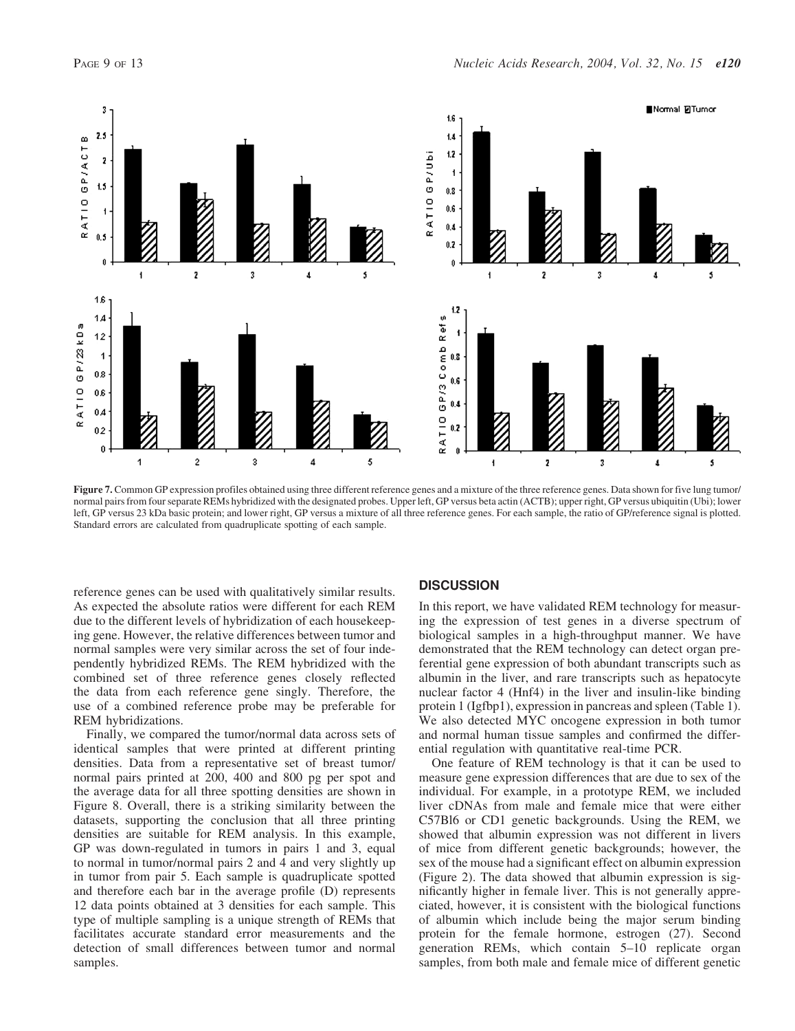

Figure 7. Common GP expression profiles obtained using three different reference genes and a mixture of the three reference genes. Data shown for five lung tumor/ normal pairs from four separate REMs hybridized with the designated probes. Upper left, GP versus beta actin (ACTB); upper right, GP versus ubiquitin (Ubi); lower left, GP versus 23 kDa basic protein; and lower right, GP versus a mixture of all three reference genes. For each sample, the ratio of GP/reference signal is plotted. Standard errors are calculated from quadruplicate spotting of each sample.

reference genes can be used with qualitatively similar results. As expected the absolute ratios were different for each REM due to the different levels of hybridization of each housekeeping gene. However, the relative differences between tumor and normal samples were very similar across the set of four independently hybridized REMs. The REM hybridized with the combined set of three reference genes closely reflected the data from each reference gene singly. Therefore, the use of a combined reference probe may be preferable for REM hybridizations.

Finally, we compared the tumor/normal data across sets of identical samples that were printed at different printing densities. Data from a representative set of breast tumor/ normal pairs printed at 200, 400 and 800 pg per spot and the average data for all three spotting densities are shown in Figure 8. Overall, there is a striking similarity between the datasets, supporting the conclusion that all three printing densities are suitable for REM analysis. In this example, GP was down-regulated in tumors in pairs 1 and 3, equal to normal in tumor/normal pairs 2 and 4 and very slightly up in tumor from pair 5. Each sample is quadruplicate spotted and therefore each bar in the average profile (D) represents 12 data points obtained at 3 densities for each sample. This type of multiple sampling is a unique strength of REMs that facilitates accurate standard error measurements and the detection of small differences between tumor and normal samples.

# **DISCUSSION**

In this report, we have validated REM technology for measuring the expression of test genes in a diverse spectrum of biological samples in a high-throughput manner. We have demonstrated that the REM technology can detect organ preferential gene expression of both abundant transcripts such as albumin in the liver, and rare transcripts such as hepatocyte nuclear factor 4 (Hnf4) in the liver and insulin-like binding protein 1 (Igfbp1), expression in pancreas and spleen (Table 1). We also detected MYC oncogene expression in both tumor and normal human tissue samples and confirmed the differential regulation with quantitative real-time PCR.

One feature of REM technology is that it can be used to measure gene expression differences that are due to sex of the individual. For example, in a prototype REM, we included liver cDNAs from male and female mice that were either C57Bl6 or CD1 genetic backgrounds. Using the REM, we showed that albumin expression was not different in livers of mice from different genetic backgrounds; however, the sex of the mouse had a significant effect on albumin expression (Figure 2). The data showed that albumin expression is significantly higher in female liver. This is not generally appreciated, however, it is consistent with the biological functions of albumin which include being the major serum binding protein for the female hormone, estrogen (27). Second generation REMs, which contain 5–10 replicate organ samples, from both male and female mice of different genetic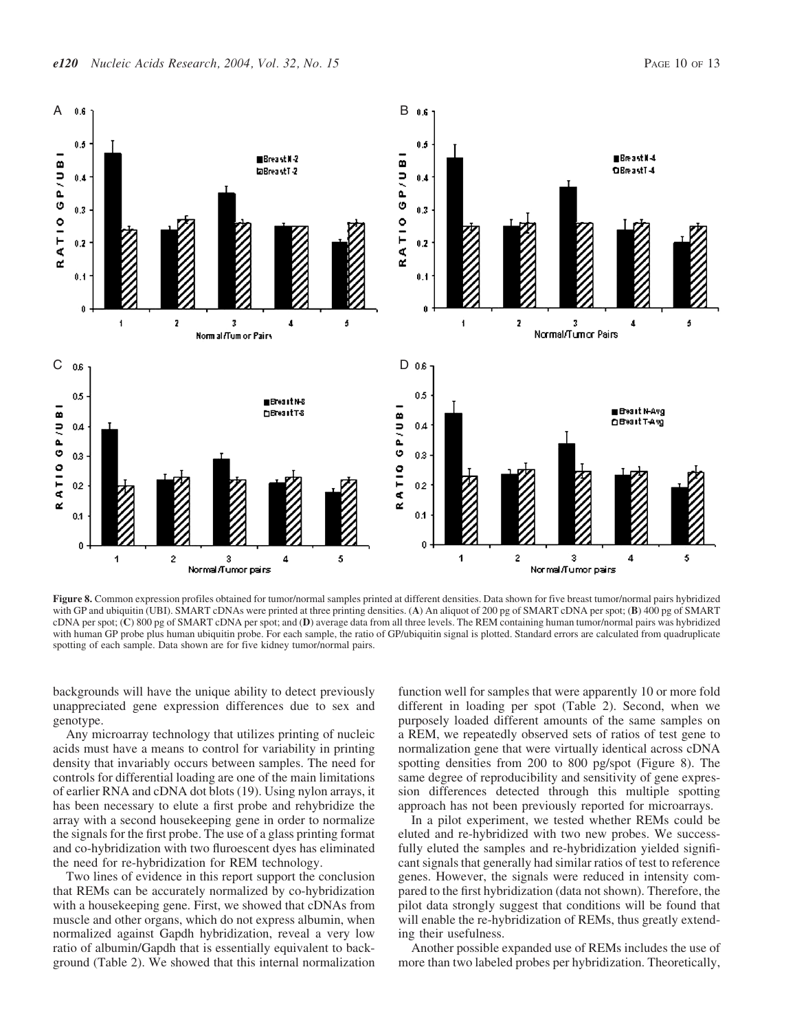

Figure 8. Common expression profiles obtained for tumor/normal samples printed at different densities. Data shown for five breast tumor/normal pairs hybridized with GP and ubiquitin (UBI). SMART cDNAs were printed at three printing densities. (A) An aliquot of 200 pg of SMART cDNA per spot; (B) 400 pg of SMART cDNA per spot; (C) 800 pg of SMART cDNA per spot; and (D) average data from all three levels. The REM containing human tumor/normal pairs was hybridized with human GP probe plus human ubiquitin probe. For each sample, the ratio of GP/ubiquitin signal is plotted. Standard errors are calculated from quadruplicate spotting of each sample. Data shown are for five kidney tumor/normal pairs.

backgrounds will have the unique ability to detect previously unappreciated gene expression differences due to sex and genotype.

Any microarray technology that utilizes printing of nucleic acids must have a means to control for variability in printing density that invariably occurs between samples. The need for controls for differential loading are one of the main limitations of earlier RNA and cDNA dot blots (19). Using nylon arrays, it has been necessary to elute a first probe and rehybridize the array with a second housekeeping gene in order to normalize the signals for the first probe. The use of a glass printing format and co-hybridization with two fluroescent dyes has eliminated the need for re-hybridization for REM technology.

Two lines of evidence in this report support the conclusion that REMs can be accurately normalized by co-hybridization with a housekeeping gene. First, we showed that cDNAs from muscle and other organs, which do not express albumin, when normalized against Gapdh hybridization, reveal a very low ratio of albumin/Gapdh that is essentially equivalent to background (Table 2). We showed that this internal normalization function well for samples that were apparently 10 or more fold different in loading per spot (Table 2). Second, when we purposely loaded different amounts of the same samples on a REM, we repeatedly observed sets of ratios of test gene to normalization gene that were virtually identical across cDNA spotting densities from 200 to 800 pg/spot (Figure 8). The same degree of reproducibility and sensitivity of gene expression differences detected through this multiple spotting approach has not been previously reported for microarrays.

In a pilot experiment, we tested whether REMs could be eluted and re-hybridized with two new probes. We successfully eluted the samples and re-hybridization yielded significant signals that generally had similar ratios of test to reference genes. However, the signals were reduced in intensity compared to the first hybridization (data not shown). Therefore, the pilot data strongly suggest that conditions will be found that will enable the re-hybridization of REMs, thus greatly extending their usefulness.

Another possible expanded use of REMs includes the use of more than two labeled probes per hybridization. Theoretically,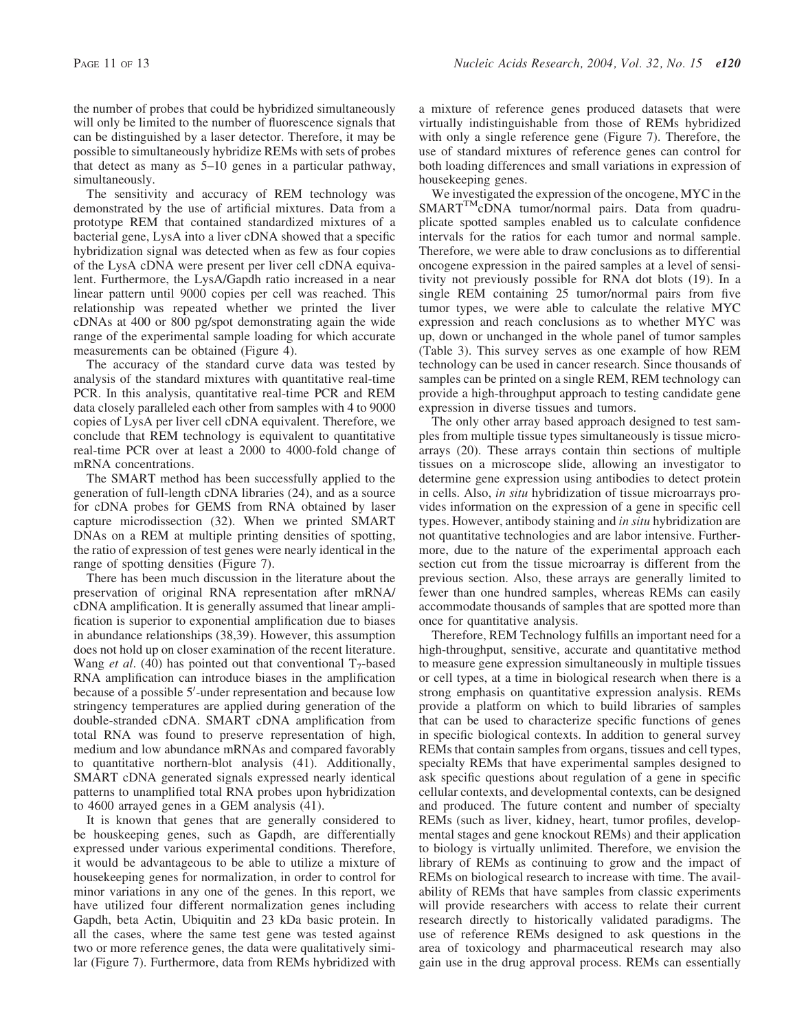the number of probes that could be hybridized simultaneously will only be limited to the number of fluorescence signals that can be distinguished by a laser detector. Therefore, it may be possible to simultaneously hybridize REMs with sets of probes that detect as many as 5–10 genes in a particular pathway, simultaneously.

The sensitivity and accuracy of REM technology was demonstrated by the use of artificial mixtures. Data from a prototype REM that contained standardized mixtures of a bacterial gene, LysA into a liver cDNA showed that a specific hybridization signal was detected when as few as four copies of the LysA cDNA were present per liver cell cDNA equivalent. Furthermore, the LysA/Gapdh ratio increased in a near linear pattern until 9000 copies per cell was reached. This relationship was repeated whether we printed the liver cDNAs at 400 or 800 pg/spot demonstrating again the wide range of the experimental sample loading for which accurate measurements can be obtained (Figure 4).

The accuracy of the standard curve data was tested by analysis of the standard mixtures with quantitative real-time PCR. In this analysis, quantitative real-time PCR and REM data closely paralleled each other from samples with 4 to 9000 copies of LysA per liver cell cDNA equivalent. Therefore, we conclude that REM technology is equivalent to quantitative real-time PCR over at least a 2000 to 4000-fold change of mRNA concentrations.

The SMART method has been successfully applied to the generation of full-length cDNA libraries (24), and as a source for cDNA probes for GEMS from RNA obtained by laser capture microdissection (32). When we printed SMART DNAs on a REM at multiple printing densities of spotting, the ratio of expression of test genes were nearly identical in the range of spotting densities (Figure 7).

There has been much discussion in the literature about the preservation of original RNA representation after mRNA/ cDNA amplification. It is generally assumed that linear amplification is superior to exponential amplification due to biases in abundance relationships (38,39). However, this assumption does not hold up on closer examination of the recent literature. Wang *et al.* (40) has pointed out that conventional  $T_7$ -based RNA amplification can introduce biases in the amplification because of a possible 5'-under representation and because low stringency temperatures are applied during generation of the double-stranded cDNA. SMART cDNA amplification from total RNA was found to preserve representation of high, medium and low abundance mRNAs and compared favorably to quantitative northern-blot analysis (41). Additionally, SMART cDNA generated signals expressed nearly identical patterns to unamplified total RNA probes upon hybridization to 4600 arrayed genes in a GEM analysis (41).

It is known that genes that are generally considered to be houskeeping genes, such as Gapdh, are differentially expressed under various experimental conditions. Therefore, it would be advantageous to be able to utilize a mixture of housekeeping genes for normalization, in order to control for minor variations in any one of the genes. In this report, we have utilized four different normalization genes including Gapdh, beta Actin, Ubiquitin and 23 kDa basic protein. In all the cases, where the same test gene was tested against two or more reference genes, the data were qualitatively similar (Figure 7). Furthermore, data from REMs hybridized with

a mixture of reference genes produced datasets that were virtually indistinguishable from those of REMs hybridized with only a single reference gene (Figure 7). Therefore, the use of standard mixtures of reference genes can control for both loading differences and small variations in expression of housekeeping genes.

We investigated the expression of the oncogene, MYC in the SMART<sup>TM</sup>cDNA tumor/normal pairs. Data from quadruplicate spotted samples enabled us to calculate confidence intervals for the ratios for each tumor and normal sample. Therefore, we were able to draw conclusions as to differential oncogene expression in the paired samples at a level of sensitivity not previously possible for RNA dot blots (19). In a single REM containing 25 tumor/normal pairs from five tumor types, we were able to calculate the relative MYC expression and reach conclusions as to whether MYC was up, down or unchanged in the whole panel of tumor samples (Table 3). This survey serves as one example of how REM technology can be used in cancer research. Since thousands of samples can be printed on a single REM, REM technology can provide a high-throughput approach to testing candidate gene expression in diverse tissues and tumors.

The only other array based approach designed to test samples from multiple tissue types simultaneously is tissue microarrays (20). These arrays contain thin sections of multiple tissues on a microscope slide, allowing an investigator to determine gene expression using antibodies to detect protein in cells. Also, in situ hybridization of tissue microarrays provides information on the expression of a gene in specific cell types. However, antibody staining and in situ hybridization are not quantitative technologies and are labor intensive. Furthermore, due to the nature of the experimental approach each section cut from the tissue microarray is different from the previous section. Also, these arrays are generally limited to fewer than one hundred samples, whereas REMs can easily accommodate thousands of samples that are spotted more than once for quantitative analysis.

Therefore, REM Technology fulfills an important need for a high-throughput, sensitive, accurate and quantitative method to measure gene expression simultaneously in multiple tissues or cell types, at a time in biological research when there is a strong emphasis on quantitative expression analysis. REMs provide a platform on which to build libraries of samples that can be used to characterize specific functions of genes in specific biological contexts. In addition to general survey REMs that contain samples from organs, tissues and cell types, specialty REMs that have experimental samples designed to ask specific questions about regulation of a gene in specific cellular contexts, and developmental contexts, can be designed and produced. The future content and number of specialty REMs (such as liver, kidney, heart, tumor profiles, developmental stages and gene knockout REMs) and their application to biology is virtually unlimited. Therefore, we envision the library of REMs as continuing to grow and the impact of REMs on biological research to increase with time. The availability of REMs that have samples from classic experiments will provide researchers with access to relate their current research directly to historically validated paradigms. The use of reference REMs designed to ask questions in the area of toxicology and pharmaceutical research may also gain use in the drug approval process. REMs can essentially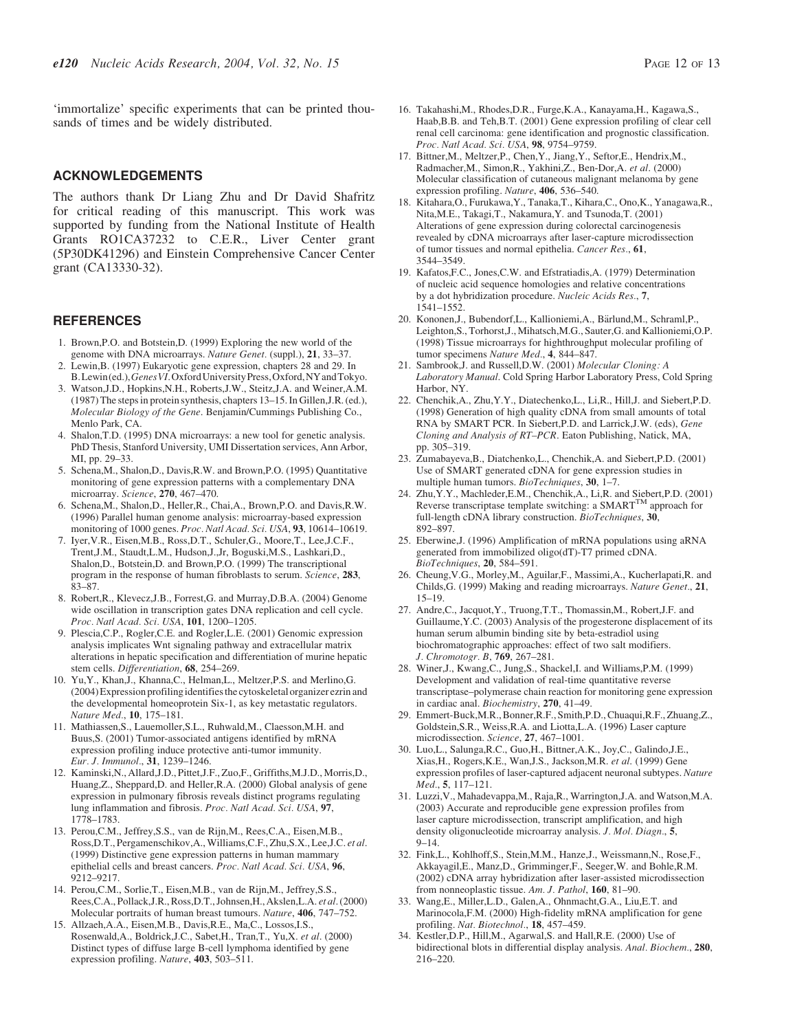'immortalize' specific experiments that can be printed thousands of times and be widely distributed.

## ACKNOWLEDGEMENTS

The authors thank Dr Liang Zhu and Dr David Shafritz for critical reading of this manuscript. This work was supported by funding from the National Institute of Health Grants RO1CA37232 to C.E.R., Liver Center grant (5P30DK41296) and Einstein Comprehensive Cancer Center grant (CA13330-32).

# **REFERENCES**

- 1. Brown,P.O. and Botstein,D. (1999) Exploring the new world of the genome with DNA microarrays. Nature Genet. (suppl.), 21, 33–37.
- 2. Lewin,B. (1997) Eukaryotic gene expression, chapters 28 and 29. In B.Lewin(ed.),GenesVI.OxfordUniversityPress,Oxford,NYandTokyo.
- 3. Watson,J.D., Hopkins,N.H., Roberts,J.W., Steitz,J.A. and Weiner,A.M. (1987) The steps in protein synthesis, chapters 13–15. In Gillen,J.R. (ed.), Molecular Biology of the Gene. Benjamin/Cummings Publishing Co., Menlo Park, CA.
- 4. Shalon,T.D. (1995) DNA microarrays: a new tool for genetic analysis. PhD Thesis, Stanford University, UMI Dissertation services, Ann Arbor, MI, pp. 29–33.
- 5. Schena,M., Shalon,D., Davis,R.W. and Brown,P.O. (1995) Quantitative monitoring of gene expression patterns with a complementary DNA microarray. Science, 270, 467–470.
- 6. Schena,M., Shalon,D., Heller,R., Chai,A., Brown,P.O. and Davis,R.W. (1996) Parallel human genome analysis: microarray-based expression monitoring of 1000 genes. Proc. Natl Acad. Sci. USA, 93, 10614-10619.
- 7. Iyer,V.R., Eisen,M.B., Ross,D.T., Schuler,G., Moore,T., Lee,J.C.F., Trent,J.M., Staudt,L.M., Hudson,J.,Jr, Boguski,M.S., Lashkari,D., Shalon,D., Botstein,D. and Brown,P.O. (1999) The transcriptional program in the response of human fibroblasts to serum. Science, 283, 83–87.
- 8. Robert,R., Klevecz,J.B., Forrest,G. and Murray,D.B.A. (2004) Genome wide oscillation in transcription gates DNA replication and cell cycle. Proc. Natl Acad. Sci. USA, 101, 1200-1205.
- 9. Plescia,C.P., Rogler,C.E. and Rogler,L.E. (2001) Genomic expression analysis implicates Wnt signaling pathway and extracellular matrix alterations in hepatic specification and differentiation of murine hepatic stem cells. Differentiation, 68, 254–269.
- 10. Yu,Y., Khan,J., Khanna,C., Helman,L., Meltzer,P.S. and Merlino,G. (2004)Expression profilingidentifies the cytoskeletal organizerezrin and the developmental homeoprotein Six-1, as key metastatic regulators. Nature Med., 10, 175–181.
- 11. Mathiassen,S., Lauemoller,S.L., Ruhwald,M., Claesson,M.H. and Buus,S. (2001) Tumor-associated antigens identified by mRNA expression profiling induce protective anti-tumor immunity. Eur. J. Immunol., 31, 1239–1246.
- 12. Kaminski,N., Allard,J.D., Pittet,J.F., Zuo,F., Griffiths,M.J.D., Morris,D., Huang,Z., Sheppard,D. and Heller,R.A. (2000) Global analysis of gene expression in pulmonary fibrosis reveals distinct programs regulating lung inflammation and fibrosis. Proc. Natl Acad. Sci. USA, 97, 1778–1783.
- 13. Perou,C.M., Jeffrey,S.S., van de Rijn,M., Rees,C.A., Eisen,M.B., Ross,D.T., Pergamenschikov,A., Williams,C.F., Zhu,S.X., Lee,J.C. et al. (1999) Distinctive gene expression patterns in human mammary epithelial cells and breast cancers. Proc. Natl Acad. Sci. USA, 96, 9212–9217.
- 14. Perou,C.M., Sorlie,T., Eisen,M.B., van de Rijn,M., Jeffrey,S.S., Rees,C.A., Pollack,J.R., Ross,D.T., Johnsen,H., Akslen,L.A. et al. (2000) Molecular portraits of human breast tumours. Nature, 406, 747–752.
- 15. Allzaeh,A.A., Eisen,M.B., Davis,R.E., Ma,C., Lossos,I.S., Rosenwald,A., Boldrick,J.C., Sabet,H., Tran,T., Yu,X. et al. (2000) Distinct types of diffuse large B-cell lymphoma identified by gene expression profiling. Nature, 403, 503-511.
- 16. Takahashi,M., Rhodes,D.R., Furge,K.A., Kanayama,H., Kagawa,S., Haab,B.B. and Teh,B.T. (2001) Gene expression profiling of clear cell renal cell carcinoma: gene identification and prognostic classification. Proc. Natl Acad. Sci. USA, 98, 9754–9759.
- 17. Bittner,M., Meltzer,P., Chen,Y., Jiang,Y., Seftor,E., Hendrix,M., Radmacher,M., Simon,R., Yakhini,Z., Ben-Dor,A. et al. (2000) Molecular classification of cutaneous malignant melanoma by gene expression profiling. Nature, 406, 536-540.
- 18. Kitahara,O., Furukawa,Y., Tanaka,T., Kihara,C., Ono,K., Yanagawa,R., Nita,M.E., Takagi,T., Nakamura,Y. and Tsunoda,T. (2001) Alterations of gene expression during colorectal carcinogenesis revealed by cDNA microarrays after laser-capture microdissection of tumor tissues and normal epithelia. Cancer Res., 61, 3544–3549.
- 19. Kafatos,F.C., Jones,C.W. and Efstratiadis,A. (1979) Determination of nucleic acid sequence homologies and relative concentrations by a dot hybridization procedure. Nucleic Acids Res., 7, 1541–1552.
- 20. Kononen, J., Bubendorf, L., Kallioniemi, A., Bärlund, M., Schraml, P., Leighton,S., Torhorst,J., Mihatsch,M.G., Sauter,G. and Kallioniemi,O.P. (1998) Tissue microarrays for highthroughput molecular profiling of tumor specimens Nature Med., 4, 844–847.
- 21. Sambrook,J. and Russell,D.W. (2001) Molecular Cloning: A Laboratory Manual. Cold Spring Harbor Laboratory Press, Cold Spring Harbor, NY.
- 22. Chenchik,A., Zhu,Y.Y., Diatechenko,L., Li,R., Hill,J. and Siebert,P.D. (1998) Generation of high quality cDNA from small amounts of total RNA by SMART PCR. In Siebert,P.D. and Larrick,J.W. (eds), Gene Cloning and Analysis of RT–PCR. Eaton Publishing, Natick, MA, pp. 305–319.
- 23. Zumabayeva,B., Diatchenko,L., Chenchik,A. and Siebert,P.D. (2001) Use of SMART generated cDNA for gene expression studies in multiple human tumors. BioTechniques, 30, 1–7.
- 24. Zhu,Y.Y., Machleder,E.M., Chenchik,A., Li,R. and Siebert,P.D. (2001) Reverse transcriptase template switching: a SMARTTM approach for full-length cDNA library construction. BioTechniques, 30, 892–897.
- 25. Eberwine,J. (1996) Amplification of mRNA populations using aRNA generated from immobilized oligo(dT)-T7 primed cDNA. BioTechniques, 20, 584–591.
- 26. Cheung,V.G., Morley,M., Aguilar,F., Massimi,A., Kucherlapati,R. and Childs,G. (1999) Making and reading microarrays. Nature Genet., 21, 15–19.
- 27. Andre,C., Jacquot,Y., Truong,T.T., Thomassin,M., Robert,J.F. and Guillaume,Y.C. (2003) Analysis of the progesterone displacement of its human serum albumin binding site by beta-estradiol using biochromatographic approaches: effect of two salt modifiers. J. Chromotogr. B, 769, 267–281.
- 28. Winer,J., Kwang,C., Jung,S., Shackel,I. and Williams,P.M. (1999) Development and validation of real-time quantitative reverse transcriptase–polymerase chain reaction for monitoring gene expression in cardiac anal. Biochemistry, 270, 41–49.
- 29. Emmert-Buck,M.R., Bonner,R.F., Smith,P.D., Chuaqui,R.F., Zhuang,Z., Goldstein,S.R., Weiss,R.A. and Liotta,L.A. (1996) Laser capture microdissection. Science, 27, 467–1001.
- 30. Luo,L., Salunga,R.C., Guo,H., Bittner,A.K., Joy,C., Galindo,J.E., Xias,H., Rogers,K.E., Wan,J.S., Jackson,M.R. et al. (1999) Gene expression profiles of laser-captured adjacent neuronal subtypes. Nature Med., 5, 117–121.
- 31. Luzzi,V., Mahadevappa,M., Raja,R., Warrington,J.A. and Watson,M.A. (2003) Accurate and reproducible gene expression profiles from laser capture microdissection, transcript amplification, and high density oligonucleotide microarray analysis. J. Mol. Diagn., 5, 9–14.
- 32. Fink,L., Kohlhoff,S., Stein,M.M., Hanze,J., Weissmann,N., Rose,F., Akkayagil,E., Manz,D., Grimminger,F., Seeger,W. and Bohle,R.M. (2002) cDNA array hybridization after laser-assisted microdissection from nonneoplastic tissue. Am. J. Pathol, 160, 81–90.
- 33. Wang,E., Miller,L.D., Galen,A., Ohnmacht,G.A., Liu,E.T. and Marinocola,F.M. (2000) High-fidelity mRNA amplification for gene profiling. Nat. Biotechnol., 18, 457–459.
- 34. Kestler,D.P., Hill,M., Agarwal,S. and Hall,R.E. (2000) Use of bidirectional blots in differential display analysis. Anal. Biochem., 280, 216–220.